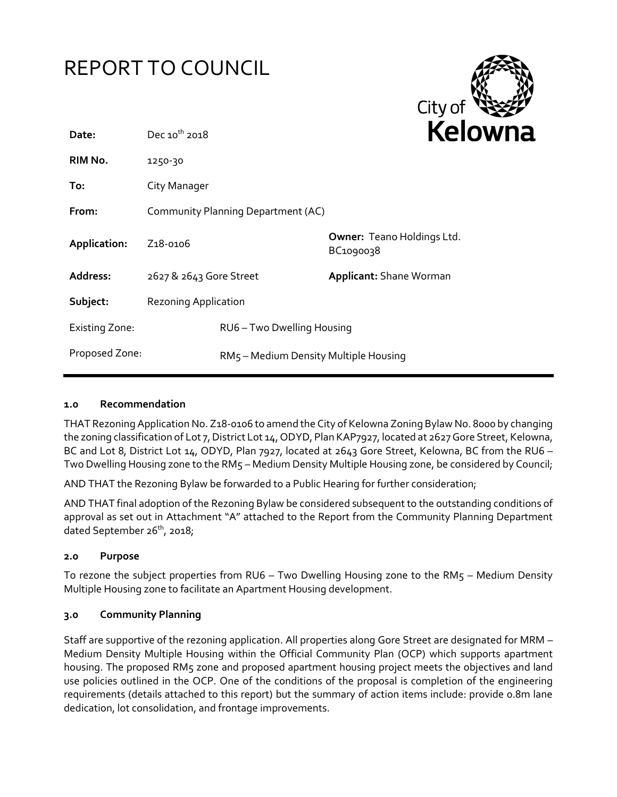# REPORT TO COUNCIL



| Date:                 | Dec $10^{th}$ 2018                    |                            | ĸе                                             |
|-----------------------|---------------------------------------|----------------------------|------------------------------------------------|
| RIM No.               | 1250-30                               |                            |                                                |
| To:                   | City Manager                          |                            |                                                |
| From:                 | Community Planning Department (AC)    |                            |                                                |
| Application:          | Z <sub>1</sub> 8-0106                 |                            | <b>Owner: Teano Holdings Ltd.</b><br>BC1090038 |
| <b>Address:</b>       | 2627 & 2643 Gore Street               |                            | <b>Applicant: Shane Worman</b>                 |
| Subject:              | <b>Rezoning Application</b>           |                            |                                                |
| <b>Existing Zone:</b> |                                       | RU6 - Two Dwelling Housing |                                                |
| Proposed Zone:        | RM5 - Medium Density Multiple Housing |                            |                                                |

### **1.0 Recommendation**

THAT Rezoning Application No. Z18-0106 to amend the City of Kelowna Zoning Bylaw No. 8000 by changing the zoning classification of Lot 7, District Lot 14, ODYD, Plan KAP7927, located at 2627 Gore Street, Kelowna, BC and Lot 8, District Lot 14, ODYD, Plan 7927, located at 2643 Gore Street, Kelowna, BC from the RU6 – Two Dwelling Housing zone to the RM5 – Medium Density Multiple Housing zone, be considered by Council;

AND THAT the Rezoning Bylaw be forwarded to a Public Hearing for further consideration;

AND THAT final adoption of the Rezoning Bylaw be considered subsequent to the outstanding conditions of approval as set out in Attachment "A" attached to the Report from the Community Planning Department dated September 26<sup>th</sup>, 2018;

### **2.0 Purpose**

To rezone the subject properties from RU6 – Two Dwelling Housing zone to the RM5 – Medium Density Multiple Housing zone to facilitate an Apartment Housing development.

### **3.0 Community Planning**

Staff are supportive of the rezoning application. All properties along Gore Street are designated for MRM – Medium Density Multiple Housing within the Official Community Plan (OCP) which supports apartment housing. The proposed RM5 zone and proposed apartment housing project meets the objectives and land use policies outlined in the OCP. One of the conditions of the proposal is completion of the engineering requirements (details attached to this report) but the summary of action items include: provide 0.8m lane dedication, lot consolidation, and frontage improvements.